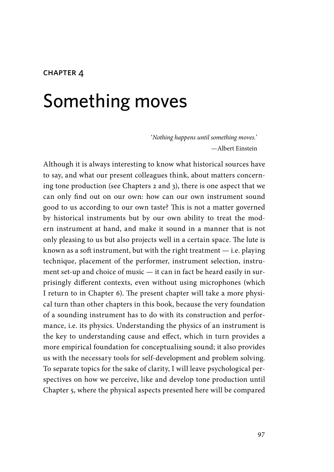#### **CHAPTER 4**

# Something moves

'*Nothing happens until something moves.*' —Albert Einstein

Although it is always interesting to know what historical sources have to say, and what our present colleagues think, about matters concerning tone production (see Chapters 2 and 3), there is one aspect that we can only find out on our own: how can our own instrument sound good to us according to our own taste? This is not a matter governed by historical instruments but by our own ability to treat the modern instrument at hand, and make it sound in a manner that is not only pleasing to us but also projects well in a certain space. The lute is known as a soft instrument, but with the right treatment  $-$  i.e. playing technique, placement of the performer, instrument selection, instrument set-up and choice of music — it can in fact be heard easily in surprisingly different contexts, even without using microphones (which I return to in Chapter 6). The present chapter will take a more physical turn than other chapters in this book, because the very foundation of a sounding instrument has to do with its construction and performance, i.e. its physics. Understanding the physics of an instrument is the key to understanding cause and effect, which in turn provides a more empirical foundation for conceptualising sound; it also provides us with the necessary tools for self-development and problem solving. To separate topics for the sake of clarity, I will leave psychological perspectives on how we perceive, like and develop tone production until Chapter 5, where the physical aspects presented here will be compared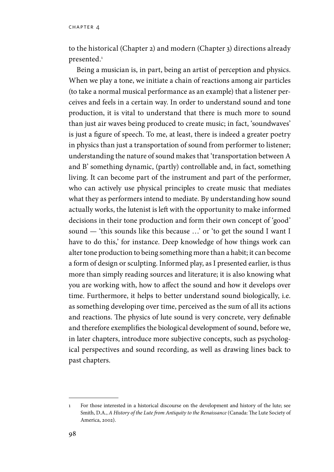chapter 4

to the historical (Chapter 2) and modern (Chapter 3) directions already presented.<sup>1</sup>

Being a musician is, in part, being an artist of perception and physics. When we play a tone, we initiate a chain of reactions among air particles (to take a normal musical performance as an example) that a listener perceives and feels in a certain way. In order to understand sound and tone production, it is vital to understand that there is much more to sound than just air waves being produced to create music; in fact, 'soundwaves' is just a figure of speech. To me, at least, there is indeed a greater poetry in physics than just a transportation of sound from performer to listener; understanding the nature of sound makes that 'transportation between A and B' something dynamic, (partly) controllable and, in fact, something living. It can become part of the instrument and part of the performer, who can actively use physical principles to create music that mediates what they as performers intend to mediate. By understanding how sound actually works, the lutenist is left with the opportunity to make informed decisions in their tone production and form their own concept of 'good' sound — 'this sounds like this because …' or 'to get the sound I want I have to do this,' for instance. Deep knowledge of how things work can alter tone production to being something more than a habit; it can become a form of design or sculpting. Informed play, as I presented earlier, is thus more than simply reading sources and literature; it is also knowing what you are working with, how to affect the sound and how it develops over time. Furthermore, it helps to better understand sound biologically, i.e. as something developing over time, perceived as the sum of all its actions and reactions. The physics of lute sound is very concrete, very definable and therefore exemplifies the biological development of sound, before we, in later chapters, introduce more subjective concepts, such as psychological perspectives and sound recording, as well as drawing lines back to past chapters.

<sup>1</sup> For those interested in a historical discourse on the development and history of the lute; see Smith, D.A., *A History of the Lute from Antiquity to the Renaissance* (Canada: The Lute Society of America, 2002).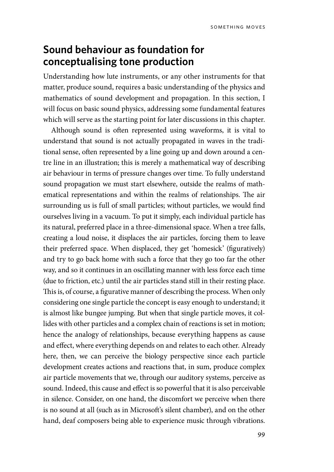# **Sound behaviour as foundation for conceptualising tone production**

Understanding how lute instruments, or any other instruments for that matter, produce sound, requires a basic understanding of the physics and mathematics of sound development and propagation. In this section, I will focus on basic sound physics, addressing some fundamental features which will serve as the starting point for later discussions in this chapter.

Although sound is often represented using waveforms, it is vital to understand that sound is not actually propagated in waves in the traditional sense, often represented by a line going up and down around a centre line in an illustration; this is merely a mathematical way of describing air behaviour in terms of pressure changes over time. To fully understand sound propagation we must start elsewhere, outside the realms of mathematical representations and within the realms of relationships. The air surrounding us is full of small particles; without particles, we would find ourselves living in a vacuum. To put it simply, each individual particle has its natural, preferred place in a three-dimensional space. When a tree falls, creating a loud noise, it displaces the air particles, forcing them to leave their preferred space. When displaced, they get 'homesick' (figuratively) and try to go back home with such a force that they go too far the other way, and so it continues in an oscillating manner with less force each time (due to friction, etc.) until the air particles stand still in their resting place. This is, of course, a figurative manner of describing the process. When only considering one single particle the concept is easy enough to understand; it is almost like bungee jumping. But when that single particle moves, it collides with other particles and a complex chain of reactions is set in motion; hence the analogy of relationships, because everything happens as cause and effect, where everything depends on and relates to each other. Already here, then, we can perceive the biology perspective since each particle development creates actions and reactions that, in sum, produce complex air particle movements that we, through our auditory systems, perceive as sound. Indeed, this cause and effect is so powerful that it is also perceivable in silence. Consider, on one hand, the discomfort we perceive when there is no sound at all (such as in Microsoft's silent chamber), and on the other hand, deaf composers being able to experience music through vibrations.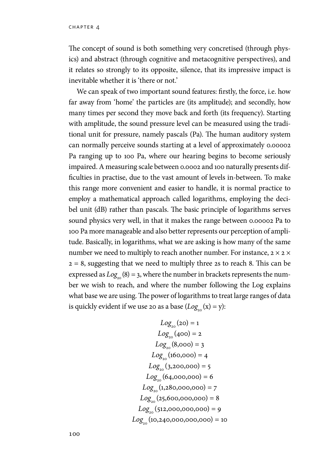The concept of sound is both something very concretised (through physics) and abstract (through cognitive and metacognitive perspectives), and it relates so strongly to its opposite, silence, that its impressive impact is inevitable whether it is 'there or not.'

We can speak of two important sound features: firstly, the force, i.e. how far away from 'home' the particles are (its amplitude); and secondly, how many times per second they move back and forth (its frequency). Starting with amplitude, the sound pressure level can be measured using the traditional unit for pressure, namely pascals (Pa). The human auditory system can normally perceive sounds starting at a level of approximately 0.00002 Pa ranging up to 100 Pa, where our hearing begins to become seriously impaired. A measuring scale between 0.0002 and 100 naturally presents difficulties in practise, due to the vast amount of levels in-between. To make this range more convenient and easier to handle, it is normal practice to employ a mathematical approach called logarithms, employing the decibel unit (dB) rather than pascals. The basic principle of logarithms serves sound physics very well, in that it makes the range between 0.00002 Pa to 100 Pa more manageable and also better represents our perception of amplitude. Basically, in logarithms, what we are asking is how many of the same number we need to multiply to reach another number. For instance,  $2 \times 2 \times$  $2 = 8$ , suggesting that we need to multiply three 2s to reach 8. This can be expressed as  $Log_{20}(8) = 3$ , where the number in brackets represents the number we wish to reach, and where the number following the Log explains what base we are using. The power of logarithms to treat large ranges of data is quickly evident if we use 20 as a base  $(Log<sub>0</sub>(x) = y)$ :

$$
Log_{20}(20) = 1
$$
  
\n
$$
Log_{20}(400) = 2
$$
  
\n
$$
Log_{20}(8,000) = 3
$$
  
\n
$$
Log_{20}(160,000) = 4
$$
  
\n
$$
Log_{20}(3,200,000) = 5
$$
  
\n
$$
Log_{20}(64,000,000) = 6
$$
  
\n
$$
Log_{20}(1,280,000,000) = 8
$$
  
\n
$$
Log_{20}(25,600,000,000) = 9
$$
  
\n
$$
Log_{20}(10,240,000,000,000) = 10
$$

100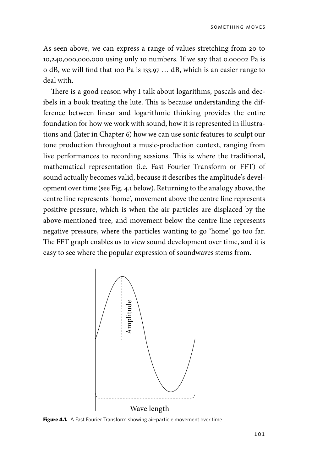As seen above, we can express a range of values stretching from 20 to 10,240,000,000,000 using only 10 numbers. If we say that 0.00002 Pa is 0 dB, we will find that 100 Pa is 133.97 … dB, which is an easier range to deal with.

There is a good reason why I talk about logarithms, pascals and decibels in a book treating the lute. This is because understanding the difference between linear and logarithmic thinking provides the entire foundation for how we work with sound, how it is represented in illustrations and (later in Chapter 6) how we can use sonic features to sculpt our tone production throughout a music-production context, ranging from live performances to recording sessions. This is where the traditional, mathematical representation (i.e. Fast Fourier Transform or FFT) of sound actually becomes valid, because it describes the amplitude's development over time (see Fig. 4.1 below). Returning to the analogy above, the centre line represents 'home', movement above the centre line represents positive pressure, which is when the air particles are displaced by the above-mentioned tree, and movement below the centre line represents negative pressure, where the particles wanting to go 'home' go too far. The FFT graph enables us to view sound development over time, and it is easy to see where the popular expression of soundwaves stems from.

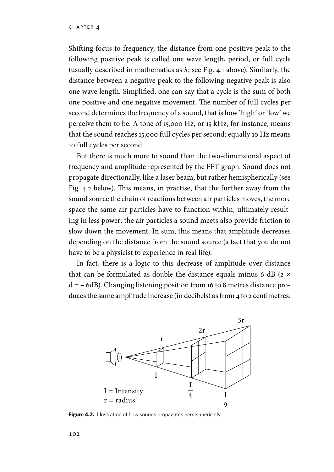Shifting focus to frequency, the distance from one positive peak to the following positive peak is called one wave length, period, or full cycle (usually described in mathematics as  $\lambda$ ; see Fig. 4.1 above). Similarly, the distance between a negative peak to the following negative peak is also one wave length. Simplified, one can say that a cycle is the sum of both one positive and one negative movement. The number of full cycles per second determines the frequency of a sound, that is how 'high' or 'low' we perceive them to be. A tone of 15,000 Hz, or 15 kHz, for instance, means that the sound reaches 15,000 full cycles per second; equally 10 Hz means 10 full cycles per second.

But there is much more to sound than the two-dimensional aspect of frequency and amplitude represented by the FFT graph. Sound does not propagate directionally, like a laser beam, but rather hemispherically (see Fig. 4.2 below). This means, in practise, that the further away from the sound source the chain of reactions between air particles moves, the more space the same air particles have to function within, ultimately resulting in less power; the air particles a sound meets also provide friction to slow down the movement. In sum, this means that amplitude decreases depending on the distance from the sound source (a fact that you do not have to be a physicist to experience in real life).

In fact, there is a logic to this decrease of amplitude over distance that can be formulated as double the distance equals minus 6 dB ( $2 \times$ d = – 6dB). Changing listening position from 16 to 8 metres distance produces the same amplitude increase (in decibels) as from 4 to 2 centimetres.



**Figure 4.2.** Illustration of how sounds propagates hemispherically.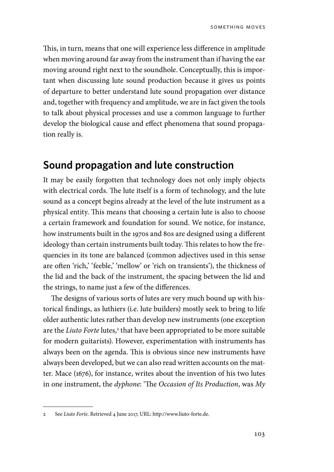This, in turn, means that one will experience less difference in amplitude when moving around far away from the instrument than if having the ear moving around right next to the soundhole. Conceptually, this is important when discussing lute sound production because it gives us points of departure to better understand lute sound propagation over distance and, together with frequency and amplitude, we are in fact given the tools to talk about physical processes and use a common language to further develop the biological cause and effect phenomena that sound propagation really is.

#### **Sound propagation and lute construction**

It may be easily forgotten that technology does not only imply objects with electrical cords. The lute itself is a form of technology, and the lute sound as a concept begins already at the level of the lute instrument as a physical entity. This means that choosing a certain lute is also to choose a certain framework and foundation for sound. We notice, for instance, how instruments built in the 1970s and 80s are designed using a different ideology than certain instruments built today. This relates to how the frequencies in its tone are balanced (common adjectives used in this sense are often 'rich,' 'feeble,' 'mellow' or 'rich on transients'), the thickness of the lid and the back of the instrument, the spacing between the lid and the strings, to name just a few of the differences.

The designs of various sorts of lutes are very much bound up with historical findings, as luthiers (i.e. lute builders) mostly seek to bring to life older authentic lutes rather than develop new instruments (one exception are the *Liuto Forte* lutes,<sup>2</sup> that have been appropriated to be more suitable for modern guitarists). However, experimentation with instruments has always been on the agenda. This is obvious since new instruments have always been developed, but we can also read written accounts on the matter. Mace (1676), for instance, writes about the invention of his two lutes in one instrument, the *dyphone*: 'The *Occasion of Its Production*, was *My* 

<sup>2</sup> See *Liuto Forte*. Retrieved 4 June 2017, URL: http://www.liuto-forte.de.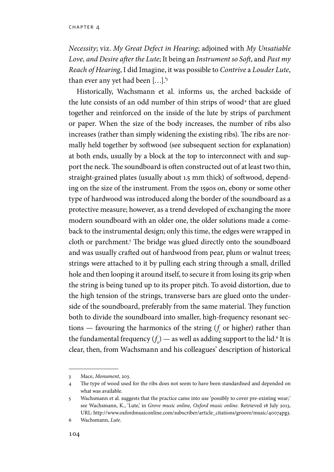*Necessity*; viz. *My Great Defect in Hearing*; adjoined with *My Unsatiable Love, and Desire after the Lute*; It being an *Instrument so Soft*, and *Past my Reach of Hearing*, I did Imagine, it was possible to *Contrive* a *Louder Lute*, than ever any yet had been […].'3

Historically, Wachsmann et al. informs us, the arched backside of the lute consists of an odd number of thin strips of wood<sup>4</sup> that are glued together and reinforced on the inside of the lute by strips of parchment or paper. When the size of the body increases, the number of ribs also increases (rather than simply widening the existing ribs). The ribs are normally held together by softwood (see subsequent section for explanation) at both ends, usually by a block at the top to interconnect with and support the neck. The soundboard is often constructed out of at least two thin, straight-grained plates (usually about 1.5 mm thick) of softwood, depending on the size of the instrument. From the 1590s on, ebony or some other type of hardwood was introduced along the border of the soundboard as a protective measure; however, as a trend developed of exchanging the more modern soundboard with an older one, the older solutions made a comeback to the instrumental design; only this time, the edges were wrapped in cloth or parchment.<sup>5</sup> The bridge was glued directly onto the soundboard and was usually crafted out of hardwood from pear, plum or walnut trees; strings were attached to it by pulling each string through a small, drilled hole and then looping it around itself, to secure it from losing its grip when the string is being tuned up to its proper pitch. To avoid distortion, due to the high tension of the strings, transverse bars are glued onto the underside of the soundboard, preferably from the same material. They function both to divide the soundboard into smaller, high-frequency resonant sec $t$  tions  $-$  favouring the harmonics of the string  $(f_i$  or higher) rather than the fundamental frequency  $(f_{\circ})$  — as well as adding support to the lid.<sup>6</sup> It is clear, then, from Wachsmann and his colleagues' description of historical

<sup>3</sup> Mace, *Monument*, 203.

<sup>4</sup> The type of wood used for the ribs does not seem to have been standardised and depended on what was available.

<sup>5</sup> Wachsmann et al. suggests that the practice came into use 'possibly to cover pre-existing wear;' see Wachsmann, K., 'Lute,' in *Grove music online, Oxford music online*. Retrieved 18 July 2013, URL: http://www.oxfordmusiconline.com/subscriber/article\_citations/groove/music/40074pg3.

<sup>6</sup> Wachsmann, *Lute*.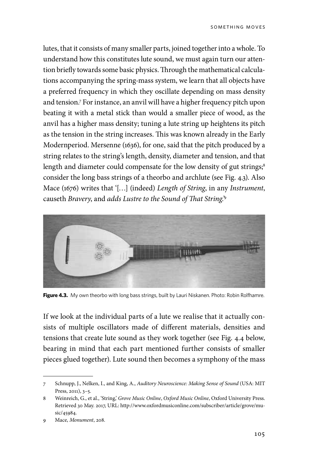lutes, that it consists of many smaller parts, joined together into a whole. To understand how this constitutes lute sound, we must again turn our attention briefly towards some basic physics. Through the mathematical calculations accompanying the spring-mass system, we learn that all objects have a preferred frequency in which they oscillate depending on mass density and tension.7 For instance, an anvil will have a higher frequency pitch upon beating it with a metal stick than would a smaller piece of wood, as the anvil has a higher mass density; tuning a lute string up heightens its pitch as the tension in the string increases. This was known already in the Early Modernperiod. Mersenne (1636), for one, said that the pitch produced by a string relates to the string's length, density, diameter and tension, and that length and diameter could compensate for the low density of gut strings;<sup>8</sup> consider the long bass strings of a theorbo and archlute (see Fig. 4.3). Also Mace (1676) writes that '[…] (indeed) *Length of String*, in any *Instrument*, causeth *Bravery*, and *adds Lustre to the Sound of That String*.'9



Figure 4.3. My own theorbo with long bass strings, built by Lauri Niskanen. Photo: Robin Rolfhamre.

If we look at the individual parts of a lute we realise that it actually consists of multiple oscillators made of different materials, densities and tensions that create lute sound as they work together (see Fig. 4.4 below, bearing in mind that each part mentioned further consists of smaller pieces glued together). Lute sound then becomes a symphony of the mass

<sup>7</sup> Schnupp, J., Nelken, I., and King, A., *Auditory Neuroscience: Making Sense of Sound* (USA: MIT Press, 2011), 3–5.

<sup>8</sup> Weinreich, G., et al., 'String,' *Grove Music Online*, *Oxford Music Online*, Oxford University Press. Retrieved 30 May. 2017, URL: http://www.oxfordmusiconline.com/subscriber/article/grove/music/45984.

<sup>9</sup> Mace, *Monument*, 208.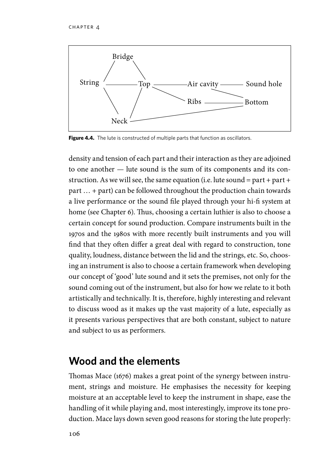

**Figure 4.4.** The lute is constructed of multiple parts that function as oscillators.

density and tension of each part and their interaction as they are adjoined to one another — lute sound is the sum of its components and its construction. As we will see, the same equation (i.e. lute sound = part + part + part … + part) can be followed throughout the production chain towards a live performance or the sound file played through your hi-fi system at home (see Chapter 6). Thus, choosing a certain luthier is also to choose a certain concept for sound production. Compare instruments built in the 1970s and the 1980s with more recently built instruments and you will find that they often differ a great deal with regard to construction, tone quality, loudness, distance between the lid and the strings, etc. So, choosing an instrument is also to choose a certain framework when developing our concept of 'good' lute sound and it sets the premises, not only for the sound coming out of the instrument, but also for how we relate to it both artistically and technically. It is, therefore, highly interesting and relevant to discuss wood as it makes up the vast majority of a lute, especially as it presents various perspectives that are both constant, subject to nature and subject to us as performers.

# **Wood and the elements**

Thomas Mace (1676) makes a great point of the synergy between instrument, strings and moisture. He emphasises the necessity for keeping moisture at an acceptable level to keep the instrument in shape, ease the handling of it while playing and, most interestingly, improve its tone production. Mace lays down seven good reasons for storing the lute properly: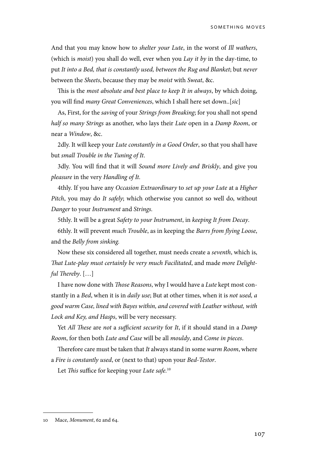And that you may know how to *shelter your Lute*, in the worst of *Ill wathers*, (which is *moist*) you shall do well, ever when you *Lay it by* in the day-time, to put *It into a Bed, that is constantly used, between the Rug and Blanket*; but *never*  between the *Sheets*, because they may be *moist* with *Sweat*, &c.

This is the *most absolute and best place to keep It in always*, by which doing, you will find *many Great Conveniences*, which I shall here set down..[*sic*]

As, First, for the *saving* of your *Strings from Breaking*; for you shall not spend *half so many Strings* as another, who lays their *Lute* open in a *Damp Room*, or near a *Window*, &c.

2dly. It will keep your *Lute constantly in a Good Order*, so that you shall have but *small Trouble in the Tuning of It*.

3dly. You will find that it will *Sound more Lively and Briskly*, and give you *pleasure* in the very *Handling of It.*

4thly. If you have any *Occasion Extraordinary* to *set up your Lute* at a *Higher Pitch*, you may do *It safely*; which otherwise you cannot so well do, without *Danger* to your *Instrument* and *Strings.*

5thly. It will be a great *Safety to your Instrument*, in *keeping It from Decay*.

6thly. It will prevent *much Trouble*, as in keeping the *Barrs from flying Loose*, and the *Belly from sinking.*

Now these six considered all together, must needs create a *seventh*, which is, *That Lute-play must certainly be very much Facilitated*, and made *more Delightful Thereby*. […]

I have now done with *Those Reasons*, why I would have a *Lute* kept most constantly in a *Bed*, when it is in *daily use*; But at other times, when it is *not used, a good warm Case, lined with Bayes within, and covered with Leather without, with Lock and Key, and Hasps*, will be very necessary.

Yet *All These* are *not* a *sufficient security* for *It*, if it should stand in a *Damp Room*, for then both *Lute and Case* will be all *mouldy*, and *Come in pieces*.

Therefore care must be taken that *It* always stand in some *warm Room*, where a *Fire is constantly used*, or (next to that) upon your *Bed-Testor*.

Let *This* suffice for keeping your *Lute safe.*<sup>10</sup>

<sup>10</sup> Mace, *Monument*, 62 and 64.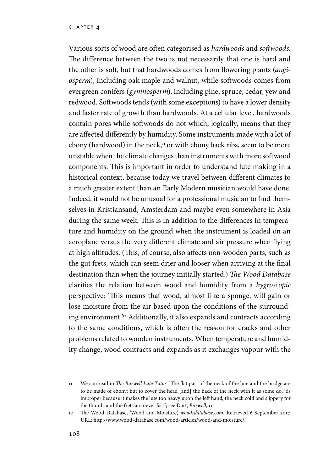Various sorts of wood are often categorised as *hardwoods* and *softwoods*. The difference between the two is not necessarily that one is hard and the other is soft, but that hardwoods comes from flowering plants (*angiosperm*), including oak maple and walnut, while softwoods comes from evergreen conifers (*gymnosperm*), including pine, spruce, cedar, yew and redwood. Softwoods tends (with some exceptions) to have a lower density and faster rate of growth than hardwoods. At a cellular level, hardwoods contain pores while softwoods do not which, logically, means that they are affected differently by humidity. Some instruments made with a lot of ebony (hardwood) in the neck, $11$  or with ebony back ribs, seem to be more unstable when the climate changes than instruments with more softwood components. This is important in order to understand lute making in a historical context, because today we travel between different climates to a much greater extent than an Early Modern musician would have done. Indeed, it would not be unusual for a professional musician to find themselves in Kristiansand, Amsterdam and maybe even somewhere in Asia during the same week. This is in addition to the differences in temperature and humidity on the ground when the instrument is loaded on an aeroplane versus the very different climate and air pressure when flying at high altitudes. (This, of course, also affects non-wooden parts, such as the gut frets, which can seem drier and looser when arriving at the final destination than when the journey initially started.) *The Wood Database*  clarifies the relation between wood and humidity from a *hygroscopic* perspective: 'This means that wood, almost like a sponge, will gain or lose moisture from the air based upon the conditions of the surrounding environment.'12 Additionally, it also expands and contracts according to the same conditions, which is often the reason for cracks and other problems related to wooden instruments. When temperature and humidity change, wood contracts and expands as it exchanges vapour with the

<sup>11</sup> We can read in *The Burwell Lute Tutor*: 'The flat part of the neck of the lute and the bridge are to be made of ebony; but to cover the head [and] the back of the neck with it as some do, 'tis improper because it makes the lute too heavy upon the left hand, the neck cold and slippery for the thumb, and the frets are never fast.'; see Dart, *Burwell*, 11.

<sup>12</sup> The Wood Database, 'Wood and Moisture,' *wood-database.com*. Retrieved 6 September 2017, URL: http://www.wood-database.com/wood-articles/wood-and-moisture/.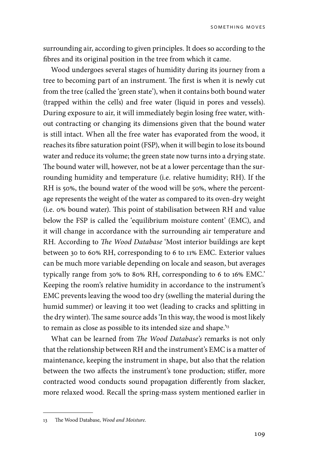surrounding air, according to given principles. It does so according to the fibres and its original position in the tree from which it came.

Wood undergoes several stages of humidity during its journey from a tree to becoming part of an instrument. The first is when it is newly cut from the tree (called the 'green state'), when it contains both bound water (trapped within the cells) and free water (liquid in pores and vessels). During exposure to air, it will immediately begin losing free water, without contracting or changing its dimensions given that the bound water is still intact. When all the free water has evaporated from the wood, it reaches its fibre saturation point (FSP), when it will begin to lose its bound water and reduce its volume; the green state now turns into a drying state. The bound water will, however, not be at a lower percentage than the surrounding humidity and temperature (i.e. relative humidity; RH). If the RH is 50%, the bound water of the wood will be 50%, where the percentage represents the weight of the water as compared to its oven-dry weight (i.e. 0% bound water). This point of stabilisation between RH and value below the FSP is called the 'equilibrium moisture content' (EMC), and it will change in accordance with the surrounding air temperature and RH. According to *The Wood Database* 'Most interior buildings are kept between 30 to 60% RH, corresponding to 6 to 11% EMC. Exterior values can be much more variable depending on locale and season, but averages typically range from 30% to 80% RH, corresponding to 6 to 16% EMC.' Keeping the room's relative humidity in accordance to the instrument's EMC prevents leaving the wood too dry (swelling the material during the humid summer) or leaving it too wet (leading to cracks and splitting in the dry winter). The same source adds 'In this way, the wood is most likely to remain as close as possible to its intended size and shape.<sup>13</sup>

What can be learned from *The Wood Database's* remarks is not only that the relationship between RH and the instrument's EMC is a matter of maintenance, keeping the instrument in shape, but also that the relation between the two affects the instrument's tone production; stiffer, more contracted wood conducts sound propagation differently from slacker, more relaxed wood. Recall the spring-mass system mentioned earlier in

<sup>13</sup> The Wood Database, *Wood and Moisture*.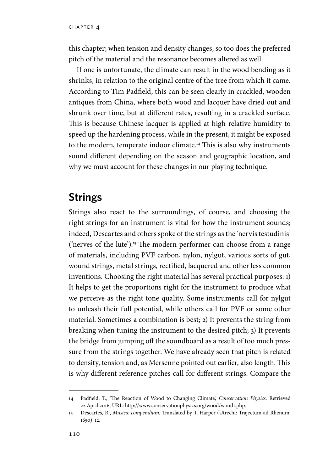this chapter; when tension and density changes, so too does the preferred pitch of the material and the resonance becomes altered as well.

If one is unfortunate, the climate can result in the wood bending as it shrinks, in relation to the original centre of the tree from which it came. According to Tim Padfield, this can be seen clearly in crackled, wooden antiques from China, where both wood and lacquer have dried out and shrunk over time, but at different rates, resulting in a crackled surface. This is because Chinese lacquer is applied at high relative humidity to speed up the hardening process, while in the present, it might be exposed to the modern, temperate indoor climate.<sup>14</sup> This is also why instruments sound different depending on the season and geographic location, and why we must account for these changes in our playing technique.

### **Strings**

Strings also react to the surroundings, of course, and choosing the right strings for an instrument is vital for how the instrument sounds; indeed, Descartes and others spoke of the strings as the 'nervis testudinis' ('nerves of the lute').<sup>15</sup> The modern performer can choose from a range of materials, including PVF carbon, nylon, nylgut, various sorts of gut, wound strings, metal strings, rectified, lacquered and other less common inventions. Choosing the right material has several practical purposes: 1) It helps to get the proportions right for the instrument to produce what we perceive as the right tone quality. Some instruments call for nylgut to unleash their full potential, while others call for PVF or some other material. Sometimes a combination is best; 2) It prevents the string from breaking when tuning the instrument to the desired pitch; 3) It prevents the bridge from jumping off the soundboard as a result of too much pressure from the strings together. We have already seen that pitch is related to density, tension and, as Mersenne pointed out earlier, also length. This is why different reference pitches call for different strings. Compare the

<sup>14</sup> Padfield, T., 'The Reaction of Wood to Changing Climate,' *Conservation Physics*. Retrieved 22 April 2016, URL: http://www.conservationphysics.org/wood/wood1.php.

<sup>15</sup> Descartes, R., *Musicæ compendium.* Translated by T. Harper (Utrecht: Trajectum ad Rhenum, 1650), 12.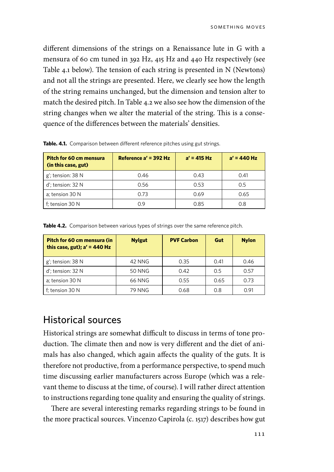different dimensions of the strings on a Renaissance lute in G with a mensura of 60 cm tuned in 392 Hz, 415 Hz and 440 Hz respectively (see Table 4.1 below). The tension of each string is presented in N (Newtons) and not all the strings are presented. Here, we clearly see how the length of the string remains unchanged, but the dimension and tension alter to match the desired pitch. In Table 4.2 we also see how the dimension of the string changes when we alter the material of the string. This is a consequence of the differences between the materials' densities.

| Pitch for 60 cm mensura<br>(in this case, gut) | Reference $a' = 392$ Hz | $a' = 415 Hz$ | $a' = 440$ Hz |
|------------------------------------------------|-------------------------|---------------|---------------|
| g'; tension: 38 N                              | 0.46                    | 0.43          | 0.41          |
| d'; tension: 32 N                              | 0.56                    | 0.53          | 0.5           |
| a; tension 30 N                                | 0.73                    | 0.69          | 0.65          |
| f: tension 30 N                                | O 9                     | 0.85          | 0.8           |

Table. 4.1. Comparison between different reference pitches using gut strings.

| Pitch for 60 cm mensura (in<br>this case, gut); $a' = 440$ Hz | <b>Nylgut</b> | <b>PVF Carbon</b> | Gut  | <b>Nylon</b> |
|---------------------------------------------------------------|---------------|-------------------|------|--------------|
| g'; tension: 38 N                                             | 42 NNG        | 0.35              | 0.41 | 0.46         |
| d': tension: 32 N                                             | <b>50 NNG</b> | 0.42              | 0.5  | 0.57         |
| a: tension 30 N                                               | 66 NNG        | 0.55              | 0.65 | 0.73         |
| f: tension 30 N                                               | <b>79 NNG</b> | 0.68              | 0.8  | 0.91         |

**Table 4.2.** Comparison between various types of strings over the same reference pitch.

#### Historical sources

Historical strings are somewhat difficult to discuss in terms of tone production. The climate then and now is very different and the diet of animals has also changed, which again affects the quality of the guts. It is therefore not productive, from a performance perspective, to spend much time discussing earlier manufacturers across Europe (which was a relevant theme to discuss at the time, of course). I will rather direct attention to instructions regarding tone quality and ensuring the quality of strings.

There are several interesting remarks regarding strings to be found in the more practical sources. Vincenzo Capirola (c. 1517) describes how gut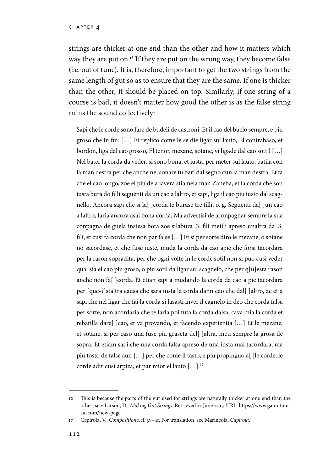strings are thicker at one end than the other and how it matters which way they are put on.16 If they are put on the wrong way, they become false (i.e. out of tune). It is, therefore, important to get the two strings from the same length of gut so as to ensure that they are the same. If one is thicker than the other, it should be placed on top. Similarly, if one string of a course is bad, it doesn't matter how good the other is as the false string ruins the sound collectively:

Sapi che le corde sono fare de budeli de castroni: Et il cao del buclo sempre, e piu groso che in fin: […] Et replico come le se die ligar sul lauto, El contrabaso, et bordon, liga dal cao grosso, El tenor, mezane, sotane, vi ligade dal cao sottil […] Nel bater la corda da veder, si sono bona, et iusta, per meter sul lauto, batila con la man destra per che anche nel sonare tu bari dal segno cun la man destra. Et fa che el cao longo, zoe el piu dela iavera stia nela man Zaneba, et la corda che son iusta bura do filli seguenti da un cao a laltro, et sapi, liga il cao piu iusto dal scagnello, Ancora sapi che si la<br/>[ ]corda te burase tre filli, o, g. Seguenti da<br/>[ ]un cao a laltro, faria ancora asai bona corda, Ma advertisi de aconpagnar sempre la sua conpagna de guela instesa bota zoe silabura .3. fili metili apreso unaltra da .3. fili, et cusi fa corda che non par false […] Et si per sorte diro le mezane, o sotane no sacordase, et che fuse iuste, muda la corda da cao apie che forsi tacordara per la rason sopradita, per che ogni volte in le corde sotil non si puo cusi veder qual sia el cao piu groso, o piu sotil da ligar sul scagnelo, che per q[u]esta rason anche non fa[ ]corda. Et etian sapi a mudando la corda da cao a pie tacordara per [que-?]staltra causa che sara insta la corda dann cao che dal[ ]altro, ac etia sapi che nel ligar che fai la corda si lasasti inver il cagnelo in deo che corda falsa per sorte, non acordaria che te faria poi tuta la corda dalsa, cava mia la corda et rebatilla dare[ ]cao, et va provando, et facendo experientia […] Et le mezane, et sotane, si per caso una fuse piu graseta del[ ]altra, meti sempre la grosa de sopra. Et etiam sapi che una corda falsa apreso de una insta mai tacordara, ma piu tosto de false aun […] per che come il tasto, e piu propinguo a[ ]le corde, le corde adir cusi arpiza, et par mior el lauto […].17

<sup>16</sup> This is because the parts of the gut used for strings are naturally thicker at one end than the other; see: Larson, D., *Making Gut Strings*. Retrieved 12 June 2017, URL: https://www.gamutmusic.com/new-page.

<sup>17</sup> Capirola, V., *Compositione*, ff. 3v–4r. For translation, see Marincola, *Capirola*.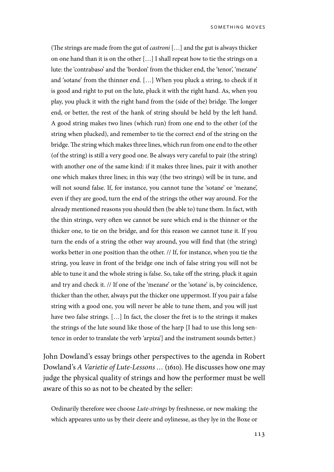(The strings are made from the gut of *castroni* […] and the gut is always thicker on one hand than it is on the other […] I shall repeat how to tie the strings on a lute: the 'contrabaso' and the 'bordon' from the thicker end, the 'tenor', 'mezane' and 'sotane' from the thinner end. […] When you pluck a string, to check if it is good and right to put on the lute, pluck it with the right hand. As, when you play, you pluck it with the right hand from the (side of the) bridge. The longer end, or better, the rest of the hank of string should be held by the left hand. A good string makes two lines (which run) from one end to the other (of the string when plucked), and remember to tie the correct end of the string on the bridge. The string which makes three lines, which run from one end to the other (of the string) is still a very good one. Be always very careful to pair (the string) with another one of the same kind: if it makes three lines, pair it with another one which makes three lines; in this way (the two strings) will be in tune, and will not sound false. If, for instance, you cannot tune the 'sotane' or 'mezane', even if they are good, turn the end of the strings the other way around. For the already mentioned reasons you should then (be able to) tune them. In fact, with the thin strings, very often we cannot be sure which end is the thinner or the thicker one, to tie on the bridge, and for this reason we cannot tune it. If you turn the ends of a string the other way around, you will find that (the string) works better in one position than the other. // If, for instance, when you tie the string, you leave in front of the bridge one inch of false string you will not be able to tune it and the whole string is false. So, take off the string, pluck it again and try and check it. // If one of the 'mezane' or the 'sotane' is, by coincidence, thicker than the other, always put the thicker one uppermost. If you pair a false string with a good one, you will never be able to tune them, and you will just have two false strings. […] In fact, the closer the fret is to the strings it makes the strings of the lute sound like those of the harp [I had to use this long sentence in order to translate the verb 'arpiza'] and the instrument sounds better.)

John Dowland's essay brings other perspectives to the agenda in Robert Dowland's *A Varietie of Lute-Lessons …* (1610). He discusses how one may judge the physical quality of strings and how the performer must be well aware of this so as not to be cheated by the seller:

Ordinarily therefore wee choose *Lute-strings* by freshnesse, or new making: the which appeares unto us by their cleere and oylinesse, as they lye in the Boxe or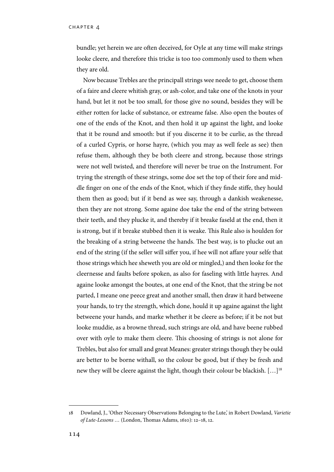bundle; yet herein we are often deceived, for Oyle at any time will make strings looke cleere, and therefore this tricke is too too commonly used to them when they are old.

Now because Trebles are the principall strings wee neede to get, choose them of a faire and cleere whitish gray, or ash-color, and take one of the knots in your hand, but let it not be too small, for those give no sound, besides they will be either rotten for lacke of substance, or extreame false. Also open the boutes of one of the ends of the Knot, and then hold it up against the light, and looke that it be round and smooth: but if you discerne it to be curlie, as the thread of a curled Cypris, or horse hayre, (which you may as well feele as see) then refuse them, although they be both cleere and strong, because those strings were not well twisted, and therefore will never be true on the Instrument. For trying the strength of these strings, some doe set the top of their fore and middle finger on one of the ends of the Knot, which if they finde stiffe, they hould them then as good; but if it bend as wee say, through a dankish weakenesse, then they are not strong. Some againe doe take the end of the string between their teeth, and they plucke it, and thereby if it breake faseld at the end, then it is strong, but if it breake stubbed then it is weake. This Rule also is houlden for the breaking of a string betweene the hands. The best way, is to plucke out an end of the string (if the seller will siffer you, if hee will not affare your selfe that those strings which hee sheweth you are old or mingled,) and then looke for the cleernesse and faults before spoken, as also for faseling with little hayres. And againe looke amongst the boutes, at one end of the Knot, that the string be not parted, I meane one peece great and another small, then draw it hard betweene your hands, to try the strength, which done, hould it up againe against the light betweene your hands, and marke whether it be cleere as before; if it be not but looke muddie, as a browne thread, such strings are old, and have beene rubbed over with oyle to make them cleere. This choosing of strings is not alone for Trebles, but also for small and great Meanes: greater strings though they be ould are better to be borne withall, so the colour be good, but if they be fresh and new they will be cleere against the light, though their colour be blackish. […]18

<sup>18</sup> Dowland, J., 'Other Necessary Observations Belonging to the Lute,' in Robert Dowland, *Varietie of Lute-Lessons …* (London, Thomas Adams, 1610): 12–18, 12.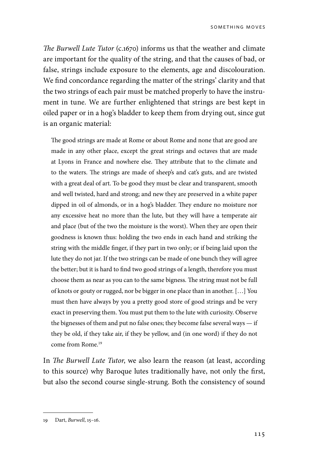*The Burwell Lute Tutor* (c.1670) informs us that the weather and climate are important for the quality of the string, and that the causes of bad, or false, strings include exposure to the elements, age and discolouration. We find concordance regarding the matter of the strings' clarity and that the two strings of each pair must be matched properly to have the instrument in tune. We are further enlightened that strings are best kept in oiled paper or in a hog's bladder to keep them from drying out, since gut is an organic material:

The good strings are made at Rome or about Rome and none that are good are made in any other place, except the great strings and octaves that are made at Lyons in France and nowhere else. They attribute that to the climate and to the waters. The strings are made of sheep's and cat's guts, and are twisted with a great deal of art. To be good they must be clear and transparent, smooth and well twisted, hard and strong; and new they are preserved in a white paper dipped in oil of almonds, or in a hog's bladder. They endure no moisture nor any excessive heat no more than the lute, but they will have a temperate air and place (but of the two the moisture is the worst). When they are open their goodness is known thus: holding the two ends in each hand and striking the string with the middle finger, if they part in two only; or if being laid upon the lute they do not jar. If the two strings can be made of one bunch they will agree the better; but it is hard to find two good strings of a length, therefore you must choose them as near as you can to the same bigness. The string must not be full of knots or gouty or rugged, nor be bigger in one place than in another. […] You must then have always by you a pretty good store of good strings and be very exact in preserving them. You must put them to the lute with curiosity. Observe the bignesses of them and put no false ones; they become false several ways — if they be old, if they take air, if they be yellow, and (in one word) if they do not come from Rome.19

In *The Burwell Lute Tutor*, we also learn the reason (at least, according to this source) why Baroque lutes traditionally have, not only the first, but also the second course single-strung. Both the consistency of sound

<sup>19</sup> Dart, *Burwell*, 15–16.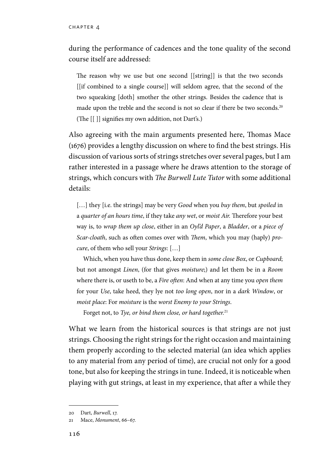during the performance of cadences and the tone quality of the second course itself are addressed:

The reason why we use but one second [[string]] is that the two seconds [[if combined to a single course]] will seldom agree, that the second of the two squeaking [doth] smother the other strings. Besides the cadence that is made upon the treble and the second is not so clear if there be two seconds.20 (The [[ ]] signifies my own addition, not Dart's.)

Also agreeing with the main arguments presented here, Thomas Mace (1676) provides a lengthy discussion on where to find the best strings. His discussion of various sorts of strings stretches over several pages, but I am rather interested in a passage where he draws attention to the storage of strings, which concurs with *The Burwell Lute Tutor* with some additional details:

[…] they [i.e. the strings] may be very *Good* when you *buy them*, but *spoiled* in a *quarter of an hours time*, if they take *any wet*, or *moist Air.* Therefore your best way is, to *wrap them up close*, either in an *Oyl'd Paper*, a *Bladder*, or a *piece of Scar-cloath*, such as often comes over with *Them*, which you may (haply) *procure*, of them who sell your *Strings*: […]

Which, when you have thus done, keep them in *some close Box*, or *Cupboard*; but not amongst *Linen*, (for that gives *moisture*;) and let them be in a *Room* where there is, or useth to be, a *Fire often*: And when at any time you *open them*  for your *Use*, take heed, they lye not *too long open*, nor in a *dark Window*, or *moist place*: For *moisture* is the *worst Enemy to your Strings*.

Forget not, to *Tye, or bind them close, or hard together.*<sup>21</sup>

What we learn from the historical sources is that strings are not just strings. Choosing the right strings for the right occasion and maintaining them properly according to the selected material (an idea which applies to any material from any period of time), are crucial not only for a good tone, but also for keeping the strings in tune. Indeed, it is noticeable when playing with gut strings, at least in my experience, that after a while they

<sup>20</sup> Dart, *Burwell*, 17.

<sup>21</sup> Mace, *Monument*, 66–67.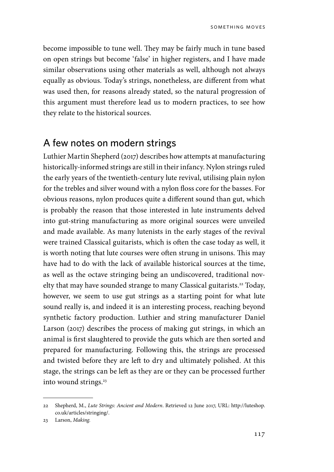become impossible to tune well. They may be fairly much in tune based on open strings but become 'false' in higher registers, and I have made similar observations using other materials as well, although not always equally as obvious. Today's strings, nonetheless, are different from what was used then, for reasons already stated, so the natural progression of this argument must therefore lead us to modern practices, to see how they relate to the historical sources.

#### A few notes on modern strings

Luthier Martin Shepherd (2017) describes how attempts at manufacturing historically-informed strings are still in their infancy. Nylon strings ruled the early years of the twentieth-century lute revival, utilising plain nylon for the trebles and silver wound with a nylon floss core for the basses. For obvious reasons, nylon produces quite a different sound than gut, which is probably the reason that those interested in lute instruments delved into gut-string manufacturing as more original sources were unveiled and made available. As many lutenists in the early stages of the revival were trained Classical guitarists, which is often the case today as well, it is worth noting that lute courses were often strung in unisons. This may have had to do with the lack of available historical sources at the time, as well as the octave stringing being an undiscovered, traditional novelty that may have sounded strange to many Classical guitarists.<sup>22</sup> Today, however, we seem to use gut strings as a starting point for what lute sound really is, and indeed it is an interesting process, reaching beyond synthetic factory production. Luthier and string manufacturer Daniel Larson (2017) describes the process of making gut strings, in which an animal is first slaughtered to provide the guts which are then sorted and prepared for manufacturing. Following this, the strings are processed and twisted before they are left to dry and ultimately polished. At this stage, the strings can be left as they are or they can be processed further into wound strings.<sup>23</sup>

<sup>22</sup> Shepherd, M., *Lute Strings: Ancient and Modern*. Retrieved 12 June 2017, URL: http://luteshop. co.uk/articles/stringing/.

<sup>23</sup> Larson, *Making.*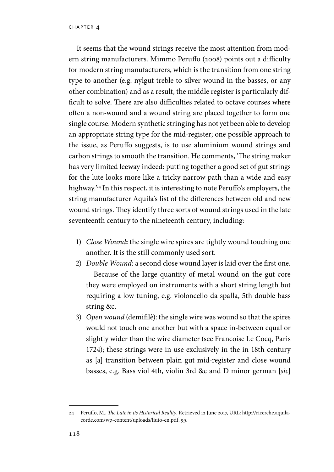It seems that the wound strings receive the most attention from modern string manufacturers. Mimmo Peruffo (2008) points out a difficulty for modern string manufacturers, which is the transition from one string type to another (e.g. nylgut treble to silver wound in the basses, or any other combination) and as a result, the middle register is particularly difficult to solve. There are also difficulties related to octave courses where often a non-wound and a wound string are placed together to form one single course. Modern synthetic stringing has not yet been able to develop an appropriate string type for the mid-register; one possible approach to the issue, as Peruffo suggests, is to use aluminium wound strings and carbon strings to smooth the transition. He comments, 'The string maker has very limited leeway indeed: putting together a good set of gut strings for the lute looks more like a tricky narrow path than a wide and easy highway.<sup>24</sup> In this respect, it is interesting to note Peruffo's employers, the string manufacturer Aquila's list of the differences between old and new wound strings. They identify three sorts of wound strings used in the late seventeenth century to the nineteenth century, including:

- 1) *Close Wound***:** the single wire spires are tightly wound touching one another. It is the still commonly used sort.
- 2) *Double Wound*: a second close wound layer is laid over the first one. Because of the large quantity of metal wound on the gut core they were employed on instruments with a short string length but requiring a low tuning, e.g. violoncello da spalla, 5th double bass string &c.
- 3) *Open wound* (demifilè): the single wire was wound so that the spires would not touch one another but with a space in-between equal or slightly wider than the wire diameter (see Francoise Le Cocq, Paris 1724); these strings were in use exclusively in the in 18th century as [a] transition between plain gut mid-register and close wound basses, e.g. Bass viol 4th, violin 3rd &c and D minor german [*sic*]

<sup>24</sup> Peruffo, M., *The Lute in its Historical Reality*. Retrieved 12 June 2017, URL: http://ricerche.aquilacorde.com/wp-content/uploads/liuto-en.pdf, 99.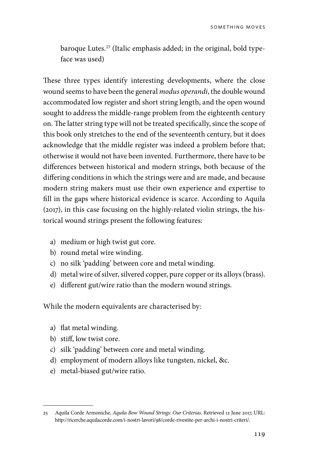baroque Lutes.<sup>25</sup> (Italic emphasis added; in the original, bold typeface was used)

These three types identify interesting developments, where the close wound seems to have been the general *modus operandi*, the double wound accommodated low register and short string length, and the open wound sought to address the middle-range problem from the eighteenth century on. The latter string type will not be treated specifically, since the scope of this book only stretches to the end of the seventeenth century, but it does acknowledge that the middle register was indeed a problem before that; otherwise it would not have been invented. Furthermore, there have to be differences between historical and modern strings, both because of the differing conditions in which the strings were and are made, and because modern string makers must use their own experience and expertise to fill in the gaps where historical evidence is scarce. According to Aquila (2017), in this case focusing on the highly-related violin strings, the historical wound strings present the following features:

- a) medium or high twist gut core.
- b) round metal wire winding.
- c) no silk 'padding' between core and metal winding.
- d) metal wire of silver, silvered copper, pure copper or its alloys (brass).
- e) different gut/wire ratio than the modern wound strings.

While the modern equivalents are characterised by:

- a) flat metal winding.
- b) stiff, low twist core.
- c) silk 'padding' between core and metal winding.
- d) employment of modern alloys like tungsten, nickel, &c.
- e) metal-biased gut/wire ratio.

<sup>25</sup> Aquila Corde Armoniche, *Aquila Bow Wound Strings: Our Criterias*. Retrieved 12 June 2017, URL: http://ricerche.aquilacorde.com/i-nostri-lavori/98/corde-rivestite-per-archi-i-nostri-criteri/.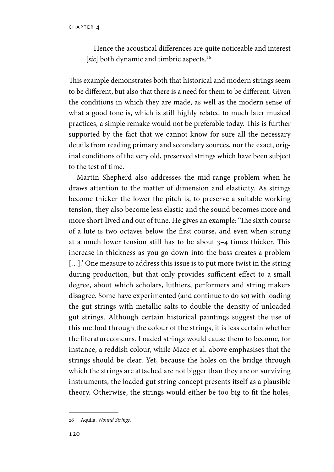Hence the acoustical differences are quite noticeable and interest [sic] both dynamic and timbric aspects.<sup>26</sup>

This example demonstrates both that historical and modern strings seem to be different, but also that there is a need for them to be different. Given the conditions in which they are made, as well as the modern sense of what a good tone is, which is still highly related to much later musical practices, a simple remake would not be preferable today. This is further supported by the fact that we cannot know for sure all the necessary details from reading primary and secondary sources, nor the exact, original conditions of the very old, preserved strings which have been subject to the test of time.

Martin Shepherd also addresses the mid-range problem when he draws attention to the matter of dimension and elasticity. As strings become thicker the lower the pitch is, to preserve a suitable working tension, they also become less elastic and the sound becomes more and more short-lived and out of tune. He gives an example: 'The sixth course of a lute is two octaves below the first course, and even when strung at a much lower tension still has to be about 3–4 times thicker. This increase in thickness as you go down into the bass creates a problem [...].' One measure to address this issue is to put more twist in the string during production, but that only provides sufficient effect to a small degree, about which scholars, luthiers, performers and string makers disagree. Some have experimented (and continue to do so) with loading the gut strings with metallic salts to double the density of unloaded gut strings. Although certain historical paintings suggest the use of this method through the colour of the strings, it is less certain whether the literatureconcurs. Loaded strings would cause them to become, for instance, a reddish colour, while Mace et al. above emphasises that the strings should be clear. Yet, because the holes on the bridge through which the strings are attached are not bigger than they are on surviving instruments, the loaded gut string concept presents itself as a plausible theory. Otherwise, the strings would either be too big to fit the holes,

<sup>26</sup> Aquila, *Wound Strings.*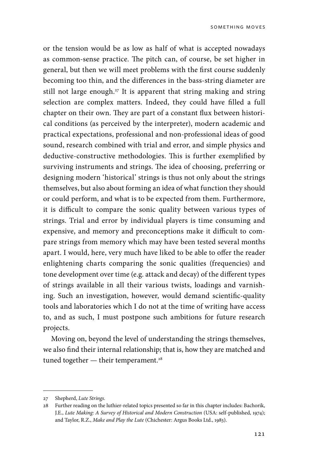or the tension would be as low as half of what is accepted nowadays as common-sense practice. The pitch can, of course, be set higher in general, but then we will meet problems with the first course suddenly becoming too thin, and the differences in the bass-string diameter are still not large enough.<sup>27</sup> It is apparent that string making and string selection are complex matters. Indeed, they could have filled a full chapter on their own. They are part of a constant flux between historical conditions (as perceived by the interpreter), modern academic and practical expectations, professional and non-professional ideas of good sound, research combined with trial and error, and simple physics and deductive-constructive methodologies. This is further exemplified by surviving instruments and strings. The idea of choosing, preferring or designing modern 'historical' strings is thus not only about the strings themselves, but also about forming an idea of what function they should or could perform, and what is to be expected from them. Furthermore, it is difficult to compare the sonic quality between various types of strings. Trial and error by individual players is time consuming and expensive, and memory and preconceptions make it difficult to compare strings from memory which may have been tested several months apart. I would, here, very much have liked to be able to offer the reader enlightening charts comparing the sonic qualities (frequencies) and tone development over time (e.g. attack and decay) of the different types of strings available in all their various twists, loadings and varnishing. Such an investigation, however, would demand scientific-quality tools and laboratories which I do not at the time of writing have access to, and as such, I must postpone such ambitions for future research projects.

Moving on, beyond the level of understanding the strings themselves, we also find their internal relationship; that is, how they are matched and tuned together  $-$  their temperament.<sup>28</sup>

<sup>27</sup> Shepherd, *Lute Strings.*

<sup>28</sup> Further reading on the luthier-related topics presented so far in this chapter includes: Bachorik, J.E., *Lute Making: A Survey of Historical and Modern Construction* (USA: self-published, 1974); and Taylor, R.Z., *Make and Play the Lute* (Chichester: Argus Books Ltd., 1983).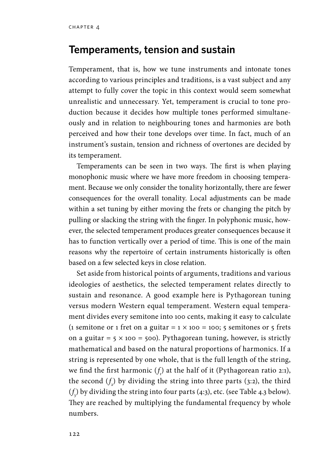#### **Temperaments, tension and sustain**

Temperament, that is, how we tune instruments and intonate tones according to various principles and traditions, is a vast subject and any attempt to fully cover the topic in this context would seem somewhat unrealistic and unnecessary. Yet, temperament is crucial to tone production because it decides how multiple tones performed simultaneously and in relation to neighbouring tones and harmonies are both perceived and how their tone develops over time. In fact, much of an instrument's sustain, tension and richness of overtones are decided by its temperament.

Temperaments can be seen in two ways. The first is when playing monophonic music where we have more freedom in choosing temperament. Because we only consider the tonality horizontally, there are fewer consequences for the overall tonality. Local adjustments can be made within a set tuning by either moving the frets or changing the pitch by pulling or slacking the string with the finger. In polyphonic music, however, the selected temperament produces greater consequences because it has to function vertically over a period of time. This is one of the main reasons why the repertoire of certain instruments historically is often based on a few selected keys in close relation.

Set aside from historical points of arguments, traditions and various ideologies of aesthetics, the selected temperament relates directly to sustain and resonance. A good example here is Pythagorean tuning versus modern Western equal temperament. Western equal temperament divides every semitone into 100 cents, making it easy to calculate (1 semitone or 1 fret on a guitar =  $1 \times 100 = 100$ ; 5 semitones or 5 frets on a guitar =  $5 \times 100 = 500$ . Pythagorean tuning, however, is strictly mathematical and based on the natural proportions of harmonics. If a string is represented by one whole, that is the full length of the string, we find the first harmonic  $(f_1)$  at the half of it (Pythagorean ratio 2:1), the second  $(f_2)$  by dividing the string into three parts (3:2), the third  $(f<sub>3</sub>)$  by dividing the string into four parts (4:3), etc. (see Table 4.3 below). They are reached by multiplying the fundamental frequency by whole numbers.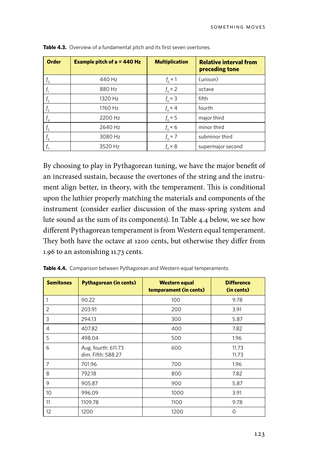| <b>Order</b>                        | Example pitch of $a = 440$ Hz | <b>Multiplication</b> | <b>Relative interval from</b><br>preceding tone |
|-------------------------------------|-------------------------------|-----------------------|-------------------------------------------------|
| $f_{\rm o}$                         | 440 Hz                        | $f_{0}$ $\times$ 1    | (unison)                                        |
|                                     | 880 Hz                        | $f_{0} \times 2$      | octave                                          |
| I,                                  | 1320 Hz                       | $f_{0} \times 3$      | fifth                                           |
| $f_3$                               | 1760 Hz                       | $f_{0} \times 4$      | fourth                                          |
| $f_{\scriptscriptstyle\mathcal{A}}$ | 2200 Hz                       | $f_{0} \times 5$      | major third                                     |
| $f_{5}$                             | 2640 Hz                       | $f_0 \times 6$        | minor third                                     |
| $f_{6}$                             | 3080 Hz                       | $f_{0} \times 7$      | subminor third                                  |
|                                     | 3520 Hz                       | $f_0 \times 8$        | supermajor second                               |

By choosing to play in Pythagorean tuning, we have the major benefit of an increased sustain, because the overtones of the string and the instrument align better, in theory, with the temperament. This is conditional upon the luthier properly matching the materials and components of the instrument (consider earlier discussion of the mass-spring system and lute sound as the sum of its components). In Table 4.4 below, we see how different Pythagorean temperament is from Western equal temperament. They both have the octave at 1200 cents, but otherwise they differ from 1.96 to an astonishing 11.73 cents.

| <b>Semitones</b> | <b>Pythagorean (in cents)</b>             | <b>Western equal</b><br>temperament (in cents) | <b>Difference</b><br>(in cents) |
|------------------|-------------------------------------------|------------------------------------------------|---------------------------------|
| 1                | 90.22                                     | 100                                            | 9.78                            |
| $\overline{2}$   | 203.91                                    | 200                                            | 3.91                            |
| 3                | 294.13                                    | 300                                            | 5.87                            |
| 4                | 407.82                                    | 400                                            | 7.82                            |
| 5                | 498.04                                    | 500                                            | 1.96                            |
| 6                | Aug. fourth: 611.73<br>dim. Fifth: 588.27 | 600                                            | 11.73<br>11.73                  |
| $\overline{7}$   | 701.96                                    | 700                                            | 1.96                            |
| 8                | 792.18                                    | 800                                            | 7.82                            |
| 9                | 905.87                                    | 900                                            | 5.87                            |
| 10               | 996.09                                    | 1000                                           | 3.91                            |
| 11               | 1109.78                                   | 1100                                           | 9.78                            |
| 12               | 1200                                      | 1200                                           | $\Omega$                        |

|  |  | Table 4.4. Comparison between Pythagorean and Western equal temperaments. |  |  |
|--|--|---------------------------------------------------------------------------|--|--|
|--|--|---------------------------------------------------------------------------|--|--|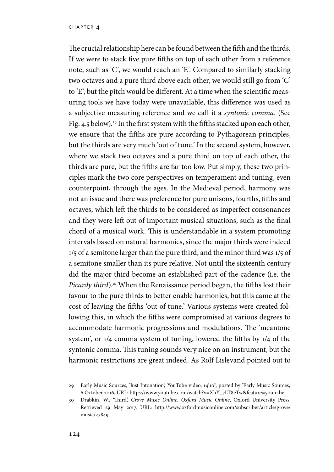The crucial relationship here can be found between the fifth and the thirds. If we were to stack five pure fifths on top of each other from a reference note, such as 'C', we would reach an 'E'. Compared to similarly stacking two octaves and a pure third above each other, we would still go from 'C' to 'E', but the pitch would be different. At a time when the scientific measuring tools we have today were unavailable, this difference was used as a subjective measuring reference and we call it a *syntonic comma*. (See Fig. 4.5 below).<sup>29</sup> In the first system with the fifths stacked upon each other, we ensure that the fifths are pure according to Pythagorean principles, but the thirds are very much 'out of tune.' In the second system, however, where we stack two octaves and a pure third on top of each other, the thirds are pure, but the fifths are far too low. Put simply, these two principles mark the two core perspectives on temperament and tuning, even counterpoint, through the ages. In the Medieval period, harmony was not an issue and there was preference for pure unisons, fourths, fifths and octaves, which left the thirds to be considered as imperfect consonances and they were left out of important musical situations, such as the final chord of a musical work. This is understandable in a system promoting intervals based on natural harmonics, since the major thirds were indeed 1/5 of a semitone larger than the pure third, and the minor third was 1/5 of a semitone smaller than its pure relative. Not until the sixteenth century did the major third become an established part of the cadence (i.e. the *Picardy third*).<sup>30</sup> When the Renaissance period began, the fifths lost their favour to the pure thirds to better enable harmonies, but this came at the cost of leaving the fifths 'out of tune.' Various systems were created following this, in which the fifths were compromised at various degrees to accommodate harmonic progressions and modulations. The 'meantone system', or 1/4 comma system of tuning, lowered the fifths by 1/4 of the syntonic comma. This tuning sounds very nice on an instrument, but the harmonic restrictions are great indeed. As Rolf Lislevand pointed out to

<sup>29</sup> Early Music Sources, 'Just Intonation,' YouTube video, 14'10'', posted by 'Early Music Sources,' 6 October 2016, URL: https://www.youtube.com/watch?v=XhY\_7LT8eTw&feature=youtu.be.

<sup>30</sup> Drabkin, W., 'Third,' *Grove Music Online*. *Oxford Music Online*, Oxford University Press. Retrieved 29 May 2017, URL: http://www.oxfordmusiconline.com/subscriber/article/grove/ music/27849.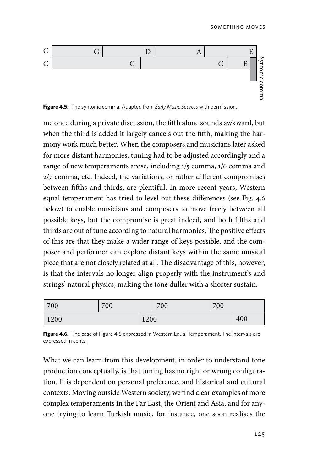

**Figure 4.5.** The syntonic comma. Adapted from *Early Music Sources* with permission.

me once during a private discussion, the fifth alone sounds awkward, but when the third is added it largely cancels out the fifth, making the harmony work much better. When the composers and musicians later asked for more distant harmonies, tuning had to be adjusted accordingly and a range of new temperaments arose, including 1/5 comma, 1/6 comma and 2/7 comma, etc. Indeed, the variations, or rather different compromises between fifths and thirds, are plentiful. In more recent years, Western equal temperament has tried to level out these differences (see Fig. 4.6 below) to enable musicians and composers to move freely between all possible keys, but the compromise is great indeed, and both fifths and thirds are out of tune according to natural harmonics. The positive effects of this are that they make a wider range of keys possible, and the composer and performer can explore distant keys within the same musical piece that are not closely related at all. The disadvantage of this, however, is that the intervals no longer align properly with the instrument's and strings' natural physics, making the tone duller with a shorter sustain.

| 700  | 700 |      | 700 | 700 |     |
|------|-----|------|-----|-----|-----|
| 1200 |     | 1200 |     |     | 400 |

**Figure 4.6.** The case of Figure 4.5 expressed in Western Equal Temperament. The intervals are expressed in cents.

What we can learn from this development, in order to understand tone production conceptually, is that tuning has no right or wrong configuration. It is dependent on personal preference, and historical and cultural contexts. Moving outside Western society, we find clear examples of more complex temperaments in the Far East, the Orient and Asia, and for anyone trying to learn Turkish music, for instance, one soon realises the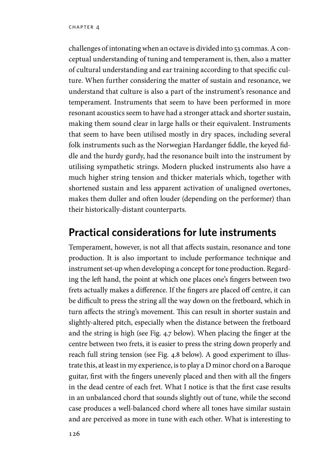challenges of intonating when an octave is divided into 53 commas. A conceptual understanding of tuning and temperament is, then, also a matter of cultural understanding and ear training according to that specific culture. When further considering the matter of sustain and resonance, we understand that culture is also a part of the instrument's resonance and temperament. Instruments that seem to have been performed in more resonant acoustics seem to have had a stronger attack and shorter sustain, making them sound clear in large halls or their equivalent. Instruments that seem to have been utilised mostly in dry spaces, including several folk instruments such as the Norwegian Hardanger fiddle, the keyed fiddle and the hurdy gurdy, had the resonance built into the instrument by utilising sympathetic strings. Modern plucked instruments also have a much higher string tension and thicker materials which, together with shortened sustain and less apparent activation of unaligned overtones, makes them duller and often louder (depending on the performer) than their historically-distant counterparts.

# **Practical considerations for lute instruments**

Temperament, however, is not all that affects sustain, resonance and tone production. It is also important to include performance technique and instrument set-up when developing a concept for tone production. Regarding the left hand, the point at which one places one's fingers between two frets actually makes a difference. If the fingers are placed off centre, it can be difficult to press the string all the way down on the fretboard, which in turn affects the string's movement. This can result in shorter sustain and slightly-altered pitch, especially when the distance between the fretboard and the string is high (see Fig. 4.7 below). When placing the finger at the centre between two frets, it is easier to press the string down properly and reach full string tension (see Fig. 4.8 below). A good experiment to illustrate this, at least in my experience, is to play a D minor chord on a Baroque guitar, first with the fingers unevenly placed and then with all the fingers in the dead centre of each fret. What I notice is that the first case results in an unbalanced chord that sounds slightly out of tune, while the second case produces a well-balanced chord where all tones have similar sustain and are perceived as more in tune with each other. What is interesting to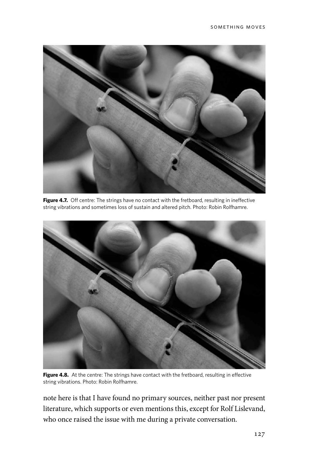

Figure 4.7. Off centre: The strings have no contact with the fretboard, resulting in ineffective string vibrations and sometimes loss of sustain and altered pitch. Photo: Robin Rolfhamre.



Figure 4.8. At the centre: The strings have contact with the fretboard, resulting in effective string vibrations. Photo: Robin Rolfhamre.

note here is that I have found no primary sources, neither past nor present literature, which supports or even mentions this, except for Rolf Lislevand, who once raised the issue with me during a private conversation.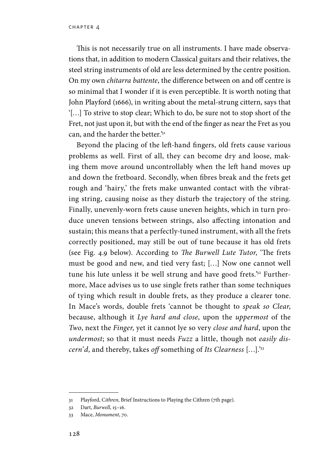This is not necessarily true on all instruments. I have made observations that, in addition to modern Classical guitars and their relatives, the steel string instruments of old are less determined by the centre position. On my own *chitarra battente*, the difference between on and off centre is so minimal that I wonder if it is even perceptible. It is worth noting that John Playford (1666), in writing about the metal-strung cittern, says that '[…] To strive to stop clear; Which to do, be sure not to stop short of the Fret, not just upon it, but with the end of the finger as near the Fret as you can, and the harder the better.'31

Beyond the placing of the left-hand fingers, old frets cause various problems as well. First of all, they can become dry and loose, making them move around uncontrollably when the left hand moves up and down the fretboard. Secondly, when fibres break and the frets get rough and 'hairy,' the frets make unwanted contact with the vibrating string, causing noise as they disturb the trajectory of the string. Finally, unevenly-worn frets cause uneven heights, which in turn produce uneven tensions between strings, also affecting intonation and sustain; this means that a perfectly-tuned instrument, with all the frets correctly positioned, may still be out of tune because it has old frets (see Fig. 4.9 below). According to *The Burwell Lute Tutor*, 'The frets must be good and new, and tied very fast; […] Now one cannot well tune his lute unless it be well strung and have good frets.'32 Furthermore, Mace advises us to use single frets rather than some techniques of tying which result in double frets, as they produce a clearer tone. In Mace's words, double frets 'cannot be thought to *speak so Clear*, because, although it *Lye hard and close*, upon the *uppermost* of the *Two*, next the *Finger*, yet it cannot lye so very *close and hard*, upon the *undermost*; so that it must needs *Fuzz* a little, though not *easily discern'd*, and thereby, takes *off* something of *Its Clearness* […].'33

<sup>31</sup> Playford, C*ithren*, Brief Instructions to Playing the Cithren (7th page).

<sup>32</sup> Dart, *Burwell*, 15–16.

<sup>33</sup> Mace, *Monument*, 70.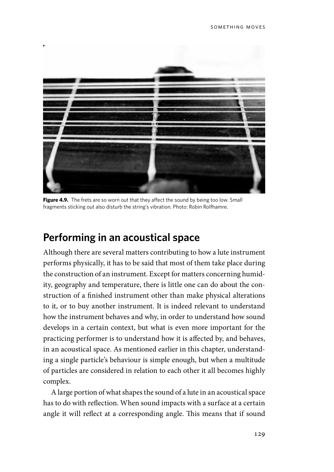

**Figure 4.9.** The frets are so worn out that they affect the sound by being too low. Small fragments sticking out also disturb the string's vibration. Photo: Robin Rolfhamre.

# **Performing in an acoustical space**

Although there are several matters contributing to how a lute instrument performs physically, it has to be said that most of them take place during the construction of an instrument. Except for matters concerning humidity, geography and temperature, there is little one can do about the construction of a finished instrument other than make physical alterations to it, or to buy another instrument. It is indeed relevant to understand how the instrument behaves and why, in order to understand how sound develops in a certain context, but what is even more important for the practicing performer is to understand how it is affected by, and behaves, in an acoustical space. As mentioned earlier in this chapter, understanding a single particle's behaviour is simple enough, but when a multitude of particles are considered in relation to each other it all becomes highly complex.

A large portion of what shapes the sound of a lute in an acoustical space has to do with reflection. When sound impacts with a surface at a certain angle it will reflect at a corresponding angle. This means that if sound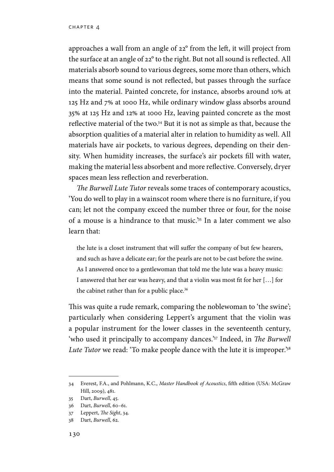approaches a wall from an angle of 22° from the left, it will project from the surface at an angle of 22° to the right. But not all sound is reflected. All materials absorb sound to various degrees, some more than others, which means that some sound is not reflected, but passes through the surface into the material. Painted concrete, for instance, absorbs around 10% at 125 Hz and 7% at 1000 Hz, while ordinary window glass absorbs around 35% at 125 Hz and 12% at 1000 Hz, leaving painted concrete as the most reflective material of the two.34 But it is not as simple as that, because the absorption qualities of a material alter in relation to humidity as well. All materials have air pockets, to various degrees, depending on their density. When humidity increases, the surface's air pockets fill with water, making the material less absorbent and more reflective. Conversely, dryer spaces mean less reflection and reverberation.

*The Burwell Lute Tutor* reveals some traces of contemporary acoustics, 'You do well to play in a wainscot room where there is no furniture, if you can; let not the company exceed the number three or four, for the noise of a mouse is a hindrance to that music.'35 In a later comment we also learn that:

the lute is a closet instrument that will suffer the company of but few hearers, and such as have a delicate ear; for the pearls are not to be cast before the swine. As I answered once to a gentlewoman that told me the lute was a heavy music: I answered that her ear was heavy, and that a violin was most fit for her […] for the cabinet rather than for a public place.<sup>36</sup>

This was quite a rude remark, comparing the noblewoman to 'the swine'; particularly when considering Leppert's argument that the violin was a popular instrument for the lower classes in the seventeenth century, 'who used it principally to accompany dances.'37 Indeed, in *The Burwell Lute Tutor* we read: 'To make people dance with the lute it is improper.'38

<sup>34</sup> Everest, F.A., and Pohlmann, K.C., *Master Handbook of Acoustics*, fifth edition (USA: McGraw Hill, 2009), 481.

<sup>35</sup> Dart, *Burwell*, 45.

<sup>36</sup> Dart, *Burwell*, 60–61.

<sup>37</sup> Leppert, *The Sight*, 34.

<sup>38</sup> Dart, *Burwell*, 62.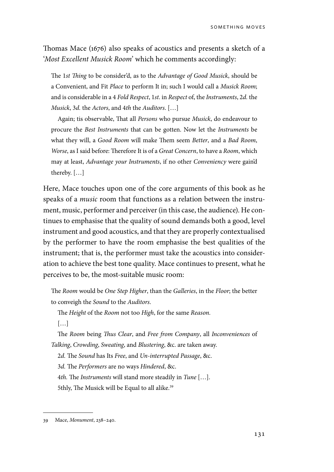Thomas Mace (1676) also speaks of acoustics and presents a sketch of a '*Most Excellent Musick Room*' which he comments accordingly:

The 1*st Thing* to be consider'd, as to the *Advantage of Good Musick*, should be a Convenient, and Fit *Place* to perform It in; such I would call a *Musick Room*; and is considerable in a 4 *Fold Respect*, 1*st*. in *Respect* of, the *Instruments*, 2*d.* the *Musick*, 3*d.* the *Actors*, and 4*th* the *Auditors*. […]

Again; tis observable, That all *Persons* who pursue *Musick*, do endeavour to procure the *Best Instruments* that can be gotten. Now let the *Instruments* be what they will, a *Good Room* will make Them seem *Better*, and a *Bad Room*, *Worse*, as I said before: Therefore It is of a *Great Concern*, to have a *Room*, which may at least, *Advantage your Instruments*, if no other *Conveniency* were gain'd thereby. […]

Here, Mace touches upon one of the core arguments of this book as he speaks of a *music* room that functions as a relation between the instrument, music, performer and perceiver (in this case, the audience). He continues to emphasise that the quality of sound demands both a good, level instrument and good acoustics, and that they are properly contextualised by the performer to have the room emphasise the best qualities of the instrument; that is, the performer must take the acoustics into consideration to achieve the best tone quality. Mace continues to present, what he perceives to be, the most-suitable music room:

The *Room* would be *One Step Higher*, than the *Galleries*, in the *Floor*; the better to conveigh the *Sound* to the *Auditors*.

The *Height* of the *Room* not too *High*, for the same *Reason.*

[…]

The *Room* being *Thus Clear*, and *Free from Company*, all *Inconveniences* of *Talking*, *Crowding*, *Sweating*, and *Blustering*, &c. are taken away.

2*d.* The *Sound* has Its *Free*, and *Un-interrupted Passage*, &c.

3*d.* The *Performers* are no ways *Hindered*, &c.

4*th.* The *Instruments* will stand more steadily in *Tune* […].

5thly, The Musick will be Equal to all alike.<sup>39</sup>

<sup>39</sup> Mace, *Monument*, 238–240.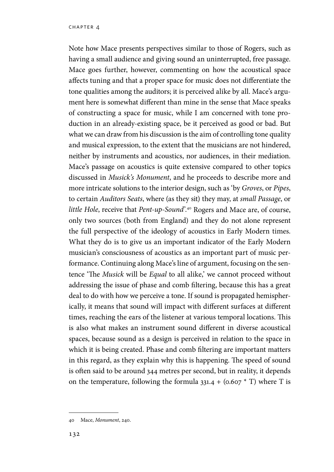Note how Mace presents perspectives similar to those of Rogers, such as having a small audience and giving sound an uninterrupted, free passage. Mace goes further, however, commenting on how the acoustical space affects tuning and that a proper space for music does not differentiate the tone qualities among the auditors; it is perceived alike by all. Mace's argument here is somewhat different than mine in the sense that Mace speaks of constructing a space for music, while I am concerned with tone production in an already-existing space, be it perceived as good or bad. But what we can draw from his discussion is the aim of controlling tone quality and musical expression, to the extent that the musicians are not hindered, neither by instruments and acoustics, nor audiences, in their mediation. Mace's passage on acoustics is quite extensive compared to other topics discussed in *Musick's Monument*, and he proceeds to describe more and more intricate solutions to the interior design, such as 'by *Groves*, or *Pipes*, to certain *Auditors Seats*, where (as they sit) they may, at *small Passage*, or *little Hole*, receive that *Pent-up-Sound*'.40 Rogers and Mace are, of course, only two sources (both from England) and they do not alone represent the full perspective of the ideology of acoustics in Early Modern times. What they do is to give us an important indicator of the Early Modern musician's consciousness of acoustics as an important part of music performance. Continuing along Mace's line of argument, focusing on the sentence 'The *Musick* will be *Equal* to all alike,' we cannot proceed without addressing the issue of phase and comb filtering, because this has a great deal to do with how we perceive a tone. If sound is propagated hemispherically, it means that sound will impact with different surfaces at different times, reaching the ears of the listener at various temporal locations. This is also what makes an instrument sound different in diverse acoustical spaces, because sound as a design is perceived in relation to the space in which it is being created. Phase and comb filtering are important matters in this regard, as they explain why this is happening. The speed of sound is often said to be around 344 metres per second, but in reality, it depends on the temperature, following the formula  $331.4 + (0.607 * T)$  where T is

<sup>40</sup> Mace, *Monument*, 240.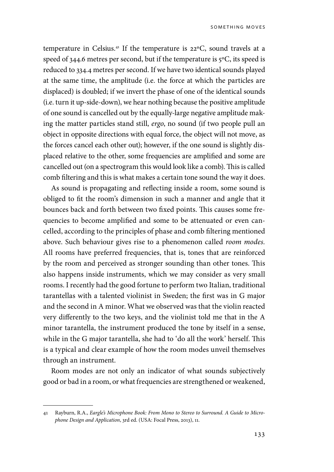temperature in Celsius.41 If the temperature is 22ºC, sound travels at a speed of 344.6 metres per second, but if the temperature is 5°C, its speed is reduced to 334.4 metres per second. If we have two identical sounds played at the same time, the amplitude (i.e. the force at which the particles are displaced) is doubled; if we invert the phase of one of the identical sounds (i.e. turn it up-side-down), we hear nothing because the positive amplitude of one sound is cancelled out by the equally-large negative amplitude making the matter particles stand still, *ergo*, no sound (if two people pull an object in opposite directions with equal force, the object will not move, as the forces cancel each other out); however, if the one sound is slightly displaced relative to the other, some frequencies are amplified and some are cancelled out (on a spectrogram this would look like a comb). This is called comb filtering and this is what makes a certain tone sound the way it does.

As sound is propagating and reflecting inside a room, some sound is obliged to fit the room's dimension in such a manner and angle that it bounces back and forth between two fixed points. This causes some frequencies to become amplified and some to be attenuated or even cancelled, according to the principles of phase and comb filtering mentioned above. Such behaviour gives rise to a phenomenon called *room modes.*  All rooms have preferred frequencies, that is, tones that are reinforced by the room and perceived as stronger sounding than other tones. This also happens inside instruments, which we may consider as very small rooms. I recently had the good fortune to perform two Italian, traditional tarantellas with a talented violinist in Sweden; the first was in G major and the second in A minor. What we observed was that the violin reacted very differently to the two keys, and the violinist told me that in the A minor tarantella, the instrument produced the tone by itself in a sense, while in the G major tarantella, she had to 'do all the work' herself. This is a typical and clear example of how the room modes unveil themselves through an instrument.

Room modes are not only an indicator of what sounds subjectively good or bad in a room, or what frequencies are strengthened or weakened,

<sup>41</sup> Rayburn, R.A., *Eargle's Microphone Book: From Mono to Stereo to Surround. A Guide to Microphone Design and Application*, 3rd ed. (USA: Focal Press, 2013), 11.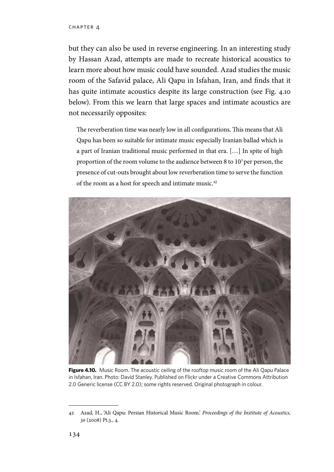but they can also be used in reverse engineering. In an interesting study by Hassan Azad, attempts are made to recreate historical acoustics to learn more about how music could have sounded. Azad studies the music room of the Safavid palace, Ali Qapu in Isfahan, Iran, and finds that it has quite intimate acoustics despite its large construction (see Fig. 4.10 below). From this we learn that large spaces and intimate acoustics are not necessarily opposites:

The reverberation time was nearly low in all configurations. This means that Ali Qapu has been so suitable for intimate music especially Iranian ballad which is a part of Iranian traditional music performed in that era. […] In spite of high proportion of the room volume to the audience between 8 to 103 per person, the presence of cut-outs brought about low reverberation time to serve the function of the room as a host for speech and intimate music.<sup>42</sup>



Figure 4.10. Music Room. The acoustic ceiling of the rooftop music room of the Ali Qapu Palace in Isfahan, Iran. Photo: David Stanley. Published on Flickr under a Creative Commons Attribution 2.0 Generic license (CC BY 2.0); some rights reserved. Original photograph in colour.

<sup>42</sup> Azad, H., 'Ali Qapu: Persian Historical Music Room.' *Proceedings of the Institute of Acoustics, 30* (2008) Pt.3., 4.